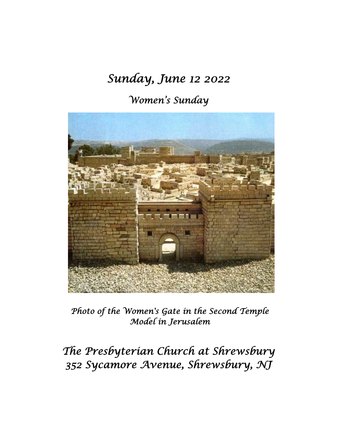# *Sunday, June 12 2022*

## *Women's Sunday*



*Photo of the Women's Gate in the Second Temple Model in Jerusalem* 

*The Presbyterian Church at Shrewsbury 352 Sycamore Avenue, Shrewsbury, NJ*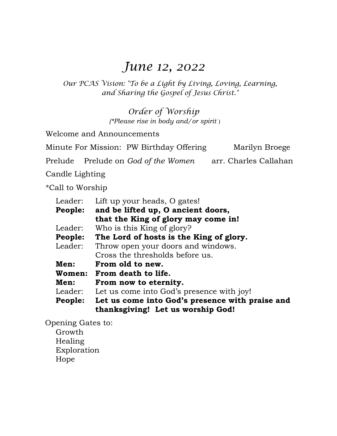## *June 12, 2022*

*Our PCAS Vision: "To be a Light by Living, Loving, Learning, and Sharing the Gospel of Jesus Christ."* 

> *Order of Worship (\*Please rise in body and/or spirit* )

Welcome and Announcements

Minute For Mission: PW Birthday Offering Marilyn Broege

Prelude Prelude on *God of the Women* arr. Charles Callahan

Candle Lighting

\*Call to Worship

| Leader: | Lift up your heads, O gates!                                                         |  |
|---------|--------------------------------------------------------------------------------------|--|
| People: | and be lifted up, O ancient doors,                                                   |  |
|         | that the King of glory may come in!                                                  |  |
| Leader: | Who is this King of glory?                                                           |  |
| People: | The Lord of hosts is the King of glory.                                              |  |
| Leader: | Throw open your doors and windows.                                                   |  |
|         | Cross the thresholds before us.                                                      |  |
| Men:    | From old to new.                                                                     |  |
|         | Women: From death to life.                                                           |  |
| Men:    | From now to eternity.                                                                |  |
| Leader: | Let us come into God's presence with joy!                                            |  |
| People: | Let us come into God's presence with praise and<br>thanksgiving! Let us worship God! |  |

 Opening Gates to: Growth Healing Exploration Hope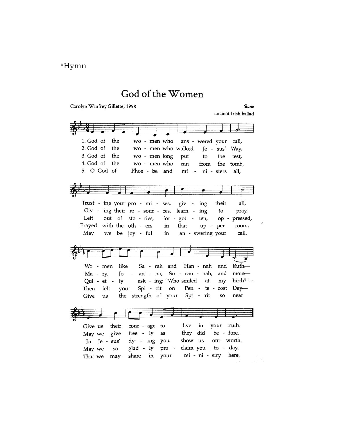## \*Hymn

## God of the Women

Carolyn Winfrey Gillette, 1998

Slane ancient Irish ballad

| 1. God of<br>the               | wo - men who<br>ans - wered your<br>call,                                                 |          |
|--------------------------------|-------------------------------------------------------------------------------------------|----------|
| 2. God of<br>the               | wo - men who walked Je - sus' Way,                                                        |          |
| 3. God of<br>the               | wo - men long<br>put<br>to the<br>test,                                                   |          |
| 4. God of<br>the               | wo - men who<br>the<br>from<br>ran<br>tomb,                                               |          |
| 5. O God of                    | Phoe - be and<br>mi - ni - sters<br>all,                                                  |          |
|                                |                                                                                           |          |
|                                |                                                                                           |          |
|                                | $\overline{\phantom{a}}$                                                                  |          |
|                                |                                                                                           | all.     |
|                                | Trust - ing your pro - mi - ses,<br>their<br>$giv -$<br>ing                               |          |
|                                | Giv - ing their re - sour - ces, learn -<br>ing<br>to                                     | pray,    |
| Left                           | out of sto - ries,<br>$for - got - ten,$<br>op - pressed,                                 |          |
| Prayed with the oth - ers      | that<br>in<br>up - per                                                                    | room,    |
| May we be joy - ful            | an - swering your<br>in                                                                   | call.    |
|                                |                                                                                           |          |
|                                |                                                                                           |          |
|                                |                                                                                           |          |
|                                | $\left  \begin{array}{c} \bullet \\ \bullet \end{array} \right $                          |          |
| like                           | and                                                                                       |          |
| Wo - men                       | Ruth-<br>Sa - rah and<br>Han - nah<br>and                                                 |          |
| Jo<br>$Ma - ry$                | - an - na, Su - san - nah,                                                                | $more-$  |
|                                | Qui - et - ly ask - ing: "Who smiled at<br>my                                             | birth?"- |
| Then<br>felt                   | your Spi - rit on Pen - te - cost<br>$Day-$                                               |          |
| Give<br>us                     | the strength of your Spi - rit<br>near<br>SO.                                             |          |
|                                |                                                                                           |          |
|                                |                                                                                           |          |
|                                |                                                                                           |          |
| Give us<br>their               | your truth.<br>live<br>in<br>cour - age<br>to                                             |          |
| May we give                    | did<br>be - fore.<br>$free - ly$<br>they<br>as                                            |          |
| In Je - sus'                   | show us<br>our worth.<br>dy - ing you                                                     |          |
| May we<br>so<br>That we<br>may | claim you to - day.<br>glad - ly<br>pro<br>here.<br>mi - ni - stry<br>share<br>in<br>your |          |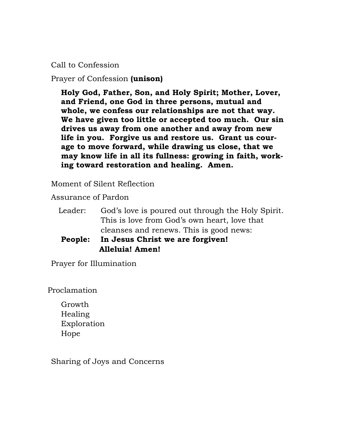Call to Confession

Prayer of Confession **(unison)** 

**Holy God, Father, Son, and Holy Spirit; Mother, Lover, and Friend, one God in three persons, mutual and whole, we confess our relationships are not that way. We have given too little or accepted too much. Our sin drives us away from one another and away from new life in you. Forgive us and restore us. Grant us courage to move forward, while drawing us close, that we may know life in all its fullness: growing in faith, working toward restoration and healing. Amen.** 

Moment of Silent Reflection

Assurance of Pardon

- Leader: God's love is poured out through the Holy Spirit. This is love from God's own heart, love that cleanses and renews. This is good news:
- **People: In Jesus Christ we are forgiven! Alleluia! Amen!**

Prayer for Illumination

Proclamation

 Growth Healing Exploration Hope

Sharing of Joys and Concerns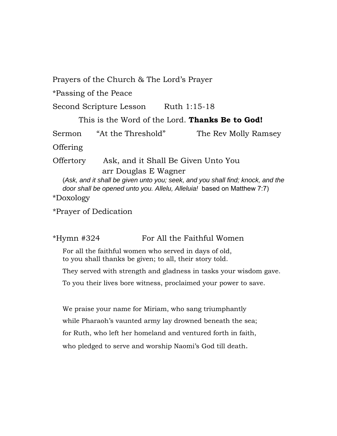Prayers of the Church & The Lord's Prayer

\*Passing of the Peace

Second Scripture Lesson Ruth 1:15-18

This is the Word of the Lord. **Thanks Be to God!** 

Sermon "At the Threshold" The Rev Molly Ramsey

Offering

 Offertory Ask, and it Shall Be Given Unto You arr Douglas E Wagner

(*Ask, and it shall be given unto you; seek, and you shall find; knock, and the door shall be opened unto you. Allelu, Alleluia!* based on Matthew 7:7)

\*Doxology

\*Prayer of Dedication

\*Hymn #324 For All the Faithful Women

For all the faithful women who served in days of old, to you shall thanks be given; to all, their story told.

They served with strength and gladness in tasks your wisdom gave.

To you their lives bore witness, proclaimed your power to save.

We praise your name for Miriam, who sang triumphantly while Pharaoh's vaunted army lay drowned beneath the sea; for Ruth, who left her homeland and ventured forth in faith, who pledged to serve and worship Naomi's God till death.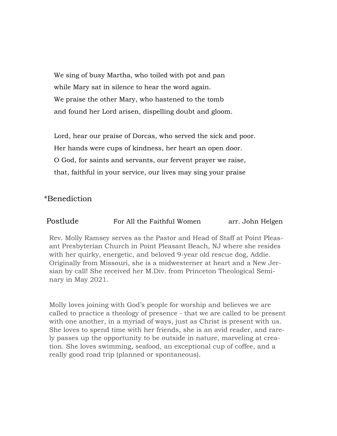We sing of busy Martha, who toiled with pot and pan while Mary sat in silence to hear the word again. We praise the other Mary, who hastened to the tomb and found her Lord arisen, dispelling doubt and gloom.

 Lord, hear our praise of Dorcas, who served the sick and poor. Her hands were cups of kindness, her heart an open door. O God, for saints and servants, our fervent prayer we raise, that, faithful in your service, our lives may sing your praise

### \*Benediction

| Postlude | For All the Faithful Women | arr. John Helgen |
|----------|----------------------------|------------------|
|----------|----------------------------|------------------|

Rev. Molly Ramsey serves as the Pastor and Head of Staff at Point Pleasant Presbyterian Church in Point Pleasant Beach, NJ where she resides with her quirky, energetic, and beloved 9-year old rescue dog, Addie. Originally from Missouri, she is a midwesterner at heart and a New Jersian by call! She received her M.Div. from Princeton Theological Seminary in May 2021.

Molly loves joining with God's people for worship and believes we are called to practice a theology of presence - that we are called to be present with one another, in a myriad of ways, just as Christ is present with us. She loves to spend time with her friends, she is an avid reader, and rarely passes up the opportunity to be outside in nature, marveling at creation. She loves swimming, seafood, an exceptional cup of coffee, and a really good road trip (planned or spontaneous).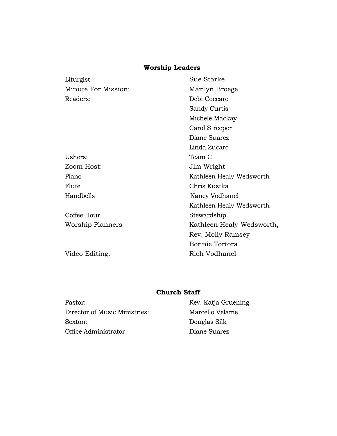### **Worship Leaders**

| Sue Starke                |  |
|---------------------------|--|
| Marilyn Broege            |  |
| Debi Coccaro              |  |
| Sandy Curtis              |  |
| Michele Mackay            |  |
| Carol Streeper            |  |
| Diane Suarez              |  |
| Linda Zucaro              |  |
| Team C                    |  |
| Jim Wright                |  |
| Kathleen Healy-Wedsworth  |  |
| Chris Kustka              |  |
| Nancy Vodhanel            |  |
| Kathleen Healy-Wedsworth  |  |
| Stewardship               |  |
| Kathleen Healy-Wedsworth, |  |
| Rev. Molly Ramsey         |  |
| Bonnie Tortora            |  |
| Rich Vodhanel             |  |
|                           |  |

### **Church Staff**

Pastor: Director of Music Ministries: Sexton: Office Administrator

Rev. Katja Gruening Marcello Velame Douglas Silk Diane Suarez